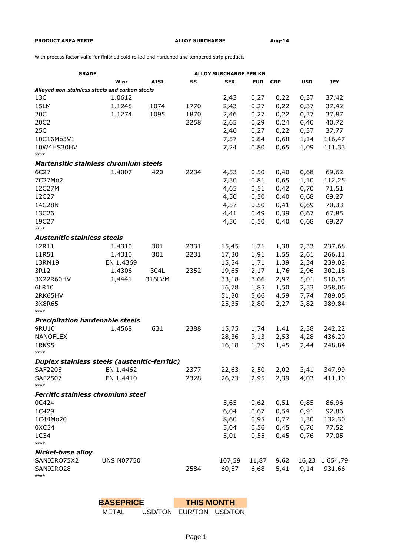## **PRODUCT AREA STRIP ALLOY SURCHARGE Aug-14**

With process factor valid for finished cold rolled and hardened and tempered strip products

| <b>GRADE</b>                                   |                   | <b>ALLOY SURCHARGE PER KG</b> |      |            |            |            |            |            |
|------------------------------------------------|-------------------|-------------------------------|------|------------|------------|------------|------------|------------|
|                                                | W.nr              | <b>AISI</b>                   | SS   | <b>SEK</b> | <b>EUR</b> | <b>GBP</b> | <b>USD</b> | <b>JPY</b> |
| Alloyed non-stainless steels and carbon steels |                   |                               |      |            |            |            |            |            |
| 13C                                            | 1.0612            |                               |      | 2,43       | 0,27       | 0,22       | 0,37       | 37,42      |
| 15LM                                           | 1.1248            | 1074                          | 1770 | 2,43       | 0,27       | 0,22       | 0,37       | 37,42      |
| 20C                                            | 1.1274            | 1095                          | 1870 | 2,46       | 0,27       | 0,22       | 0,37       | 37,87      |
| 20C2                                           |                   |                               | 2258 | 2,65       | 0,29       | 0,24       | 0,40       | 40,72      |
| 25C                                            |                   |                               |      | 2,46       | 0,27       | 0,22       | 0,37       | 37,77      |
| 10C16Mo3V1                                     |                   |                               |      | 7,57       | 0,84       | 0,68       | 1,14       | 116,47     |
| 10W4HS30HV                                     |                   |                               |      | 7,24       | 0,80       | 0,65       | 1,09       | 111,33     |
| ****                                           |                   |                               |      |            |            |            |            |            |
| Martensitic stainless chromium steels          |                   |                               |      |            |            |            |            |            |
| 6C27                                           | 1.4007            | 420                           | 2234 | 4,53       | 0,50       | 0,40       | 0,68       | 69,62      |
| 7C27Mo2                                        |                   |                               |      | 7,30       | 0,81       | 0,65       | 1,10       | 112,25     |
| 12C27M                                         |                   |                               |      | 4,65       | 0,51       | 0,42       | 0,70       | 71,51      |
| 12C27                                          |                   |                               |      | 4,50       | 0,50       | 0,40       | 0,68       | 69,27      |
| 14C28N                                         |                   |                               |      | 4,57       | 0,50       | 0,41       | 0,69       | 70,33      |
| 13C26                                          |                   |                               |      | 4,41       | 0,49       | 0,39       | 0,67       | 67,85      |
| 19C27                                          |                   |                               |      | 4,50       | 0,50       | 0,40       | 0,68       | 69,27      |
| $***$                                          |                   |                               |      |            |            |            |            |            |
| <b>Austenitic stainless steels</b>             |                   |                               |      |            |            |            |            |            |
| 12R11                                          | 1.4310            | 301                           | 2331 | 15,45      | 1,71       | 1,38       | 2,33       | 237,68     |
| 11R51                                          | 1.4310            | 301                           | 2231 | 17,30      | 1,91       | 1,55       | 2,61       | 266,11     |
| 13RM19                                         | EN 1.4369         |                               |      | 15,54      | 1,71       | 1,39       | 2,34       | 239,02     |
| 3R12                                           | 1.4306            | 304L                          | 2352 | 19,65      | 2,17       | 1,76       | 2,96       | 302,18     |
| 3X22R60HV                                      | 1,4441            | 316LVM                        |      | 33,18      | 3,66       | 2,97       | 5,01       | 510,35     |
| 6LR10                                          |                   |                               |      | 16,78      | 1,85       | 1,50       | 2,53       | 258,06     |
| 2RK65HV                                        |                   |                               |      | 51,30      | 5,66       | 4,59       | 7,74       | 789,05     |
| 3X8R65                                         |                   |                               |      | 25,35      | 2,80       | 2,27       | 3,82       | 389,84     |
| ****                                           |                   |                               |      |            |            |            |            |            |
| <b>Precipitation hardenable steels</b>         |                   |                               |      |            |            |            |            |            |
| 9RU10                                          | 1.4568            | 631                           | 2388 | 15,75      | 1,74       | 1,41       | 2,38       | 242,22     |
| <b>NANOFLEX</b>                                |                   |                               |      | 28,36      | 3,13       | 2,53       | 4,28       | 436,20     |
| 1RK95                                          |                   |                               |      | 16,18      | 1,79       | 1,45       | 2,44       | 248,84     |
| $***$                                          |                   |                               |      |            |            |            |            |            |
| Duplex stainless steels (austenitic-ferritic)  |                   |                               |      |            |            |            |            |            |
| SAF2205                                        | EN 1.4462         |                               | 2377 | 22,63      | 2,50       | 2,02       | 3,41       | 347,99     |
| SAF2507                                        | EN 1.4410         |                               | 2328 | 26,73      | 2,95       | 2,39       | 4,03       | 411,10     |
| ****                                           |                   |                               |      |            |            |            |            |            |
| <b>Ferritic stainless chromium steel</b>       |                   |                               |      |            |            |            |            |            |
| 0C424                                          |                   |                               |      | 5,65       | 0,62       | 0,51       | 0,85       | 86,96      |
| 1C429                                          |                   |                               |      | 6,04       | 0,67       | 0,54       | 0,91       | 92,86      |
| 1C44Mo20                                       |                   |                               |      | 8,60       | 0,95       | 0,77       | 1,30       | 132,30     |
| 0XC34                                          |                   |                               |      | 5,04       | 0,56       | 0,45       | 0,76       | 77,52      |
| 1C34                                           |                   |                               |      | 5,01       | 0,55       | 0,45       | 0,76       | 77,05      |
| ****                                           |                   |                               |      |            |            |            |            |            |
| <b>Nickel-base alloy</b>                       |                   |                               |      |            |            |            |            |            |
| SANICRO75X2                                    | <b>UNS N07750</b> |                               |      | 107,59     | 11,87      | 9,62       | 16,23      | 1 654,79   |
| SANICRO28<br>****                              |                   |                               | 2584 | 60,57      | 6,68       | 5,41       | 9,14       | 931,66     |

**BASEPRICE** METAL USD/TON EUR/TON USD/TON **THIS MONTH**